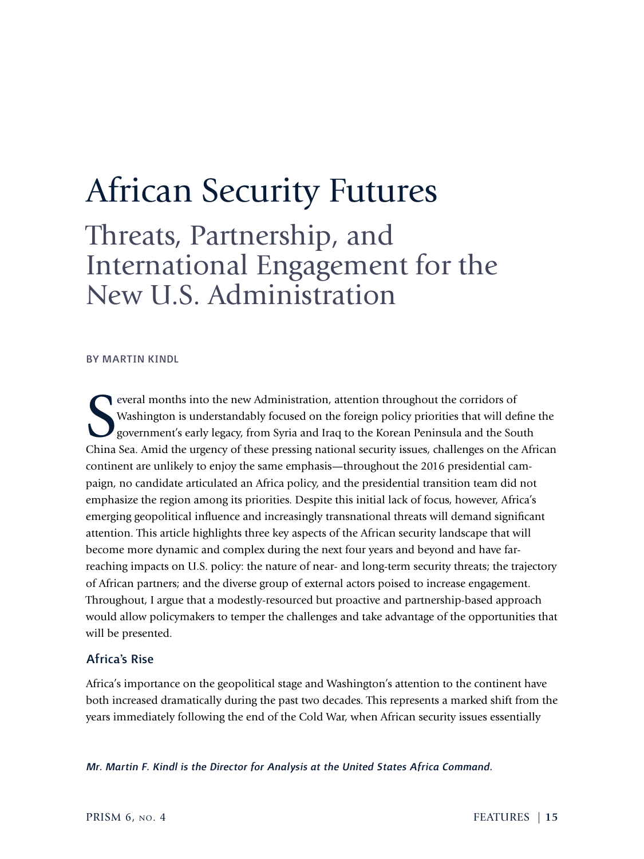# African Security Futures

Threats, Partnership, and International Engagement for the New U.S. Administration

## BY MARTIN KINDL

Several months into the new Administration, attention throughout the corridors of Washington is understandably focused on the foreign policy priorities that will define the government's early legacy, from Syria and Iraq to Washington is understandably focused on the foreign policy priorities that will define the government's early legacy, from Syria and Iraq to the Korean Peninsula and the South China Sea. Amid the urgency of these pressing national security issues, challenges on the African continent are unlikely to enjoy the same emphasis—throughout the 2016 presidential campaign, no candidate articulated an Africa policy, and the presidential transition team did not emphasize the region among its priorities. Despite this initial lack of focus, however, Africa's emerging geopolitical influence and increasingly transnational threats will demand significant attention. This article highlights three key aspects of the African security landscape that will become more dynamic and complex during the next four years and beyond and have farreaching impacts on U.S. policy: the nature of near- and long-term security threats; the trajectory of African partners; and the diverse group of external actors poised to increase engagement. Throughout, I argue that a modestly-resourced but proactive and partnership-based approach would allow policymakers to temper the challenges and take advantage of the opportunities that will be presented.

## Africa's Rise

Africa's importance on the geopolitical stage and Washington's attention to the continent have both increased dramatically during the past two decades. This represents a marked shift from the years immediately following the end of the Cold War, when African security issues essentially

*Mr. Martin F. Kindl is the Director for Analysis at the United States Africa Command.*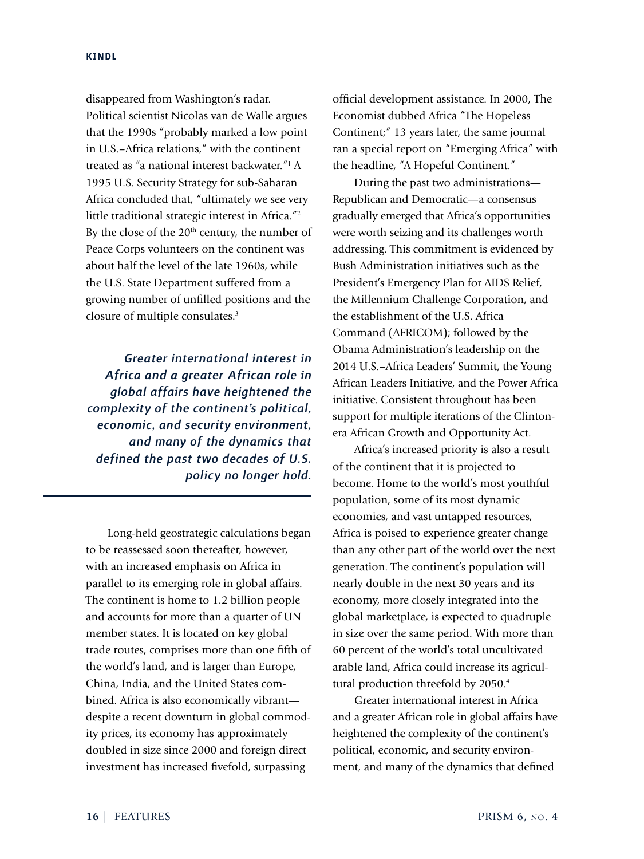disappeared from Washington's radar. Political scientist Nicolas van de Walle argues that the 1990s "probably marked a low point in U.S.–Africa relations," with the continent treated as "a national interest backwater."<sup>1</sup> A 1995 U.S. Security Strategy for sub-Saharan Africa concluded that, "ultimately we see very little traditional strategic interest in Africa."<sup>2</sup> By the close of the 20<sup>th</sup> century, the number of Peace Corps volunteers on the continent was about half the level of the late 1960s, while the U.S. State Department suffered from a growing number of unfilled positions and the closure of multiple consulates.<sup>3</sup>

*Greater international interest in Africa and a greater African role in global affairs have heightened the complexity of the continent's political, economic, and security environment, and many of the dynamics that defined the past two decades of U.S. policy no longer hold.*

Long-held geostrategic calculations began to be reassessed soon thereafter, however, with an increased emphasis on Africa in parallel to its emerging role in global affairs. The continent is home to 1.2 billion people and accounts for more than a quarter of UN member states. It is located on key global trade routes, comprises more than one fifth of the world's land, and is larger than Europe, China, India, and the United States combined. Africa is also economically vibrant despite a recent downturn in global commodity prices, its economy has approximately doubled in size since 2000 and foreign direct investment has increased fivefold, surpassing

official development assistance. In 2000, The Economist dubbed Africa "The Hopeless Continent;" 13 years later, the same journal ran a special report on "Emerging Africa" with the headline, "A Hopeful Continent."

During the past two administrations— Republican and Democratic—a consensus gradually emerged that Africa's opportunities were worth seizing and its challenges worth addressing. This commitment is evidenced by Bush Administration initiatives such as the President's Emergency Plan for AIDS Relief, the Millennium Challenge Corporation, and the establishment of the U.S. Africa Command (AFRICOM); followed by the Obama Administration's leadership on the 2014 U.S.–Africa Leaders' Summit, the Young African Leaders Initiative, and the Power Africa initiative. Consistent throughout has been support for multiple iterations of the Clintonera African Growth and Opportunity Act.

Africa's increased priority is also a result of the continent that it is projected to become. Home to the world's most youthful population, some of its most dynamic economies, and vast untapped resources, Africa is poised to experience greater change than any other part of the world over the next generation. The continent's population will nearly double in the next 30 years and its economy, more closely integrated into the global marketplace, is expected to quadruple in size over the same period. With more than 60 percent of the world's total uncultivated arable land, Africa could increase its agricultural production threefold by 2050.<sup>4</sup>

Greater international interest in Africa and a greater African role in global affairs have heightened the complexity of the continent's political, economic, and security environment, and many of the dynamics that defined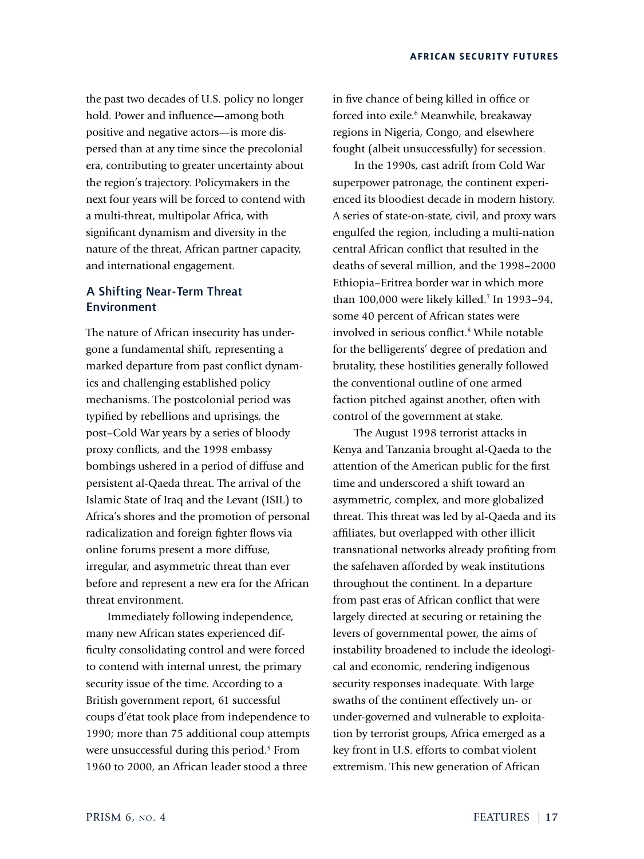the past two decades of U.S. policy no longer hold. Power and influence—among both positive and negative actors—is more dispersed than at any time since the precolonial era, contributing to greater uncertainty about the region's trajectory. Policymakers in the next four years will be forced to contend with a multi-threat, multipolar Africa, with significant dynamism and diversity in the nature of the threat, African partner capacity, and international engagement.

# A Shifting Near-Term Threat Environment

The nature of African insecurity has undergone a fundamental shift, representing a marked departure from past conflict dynamics and challenging established policy mechanisms. The postcolonial period was typified by rebellions and uprisings, the post–Cold War years by a series of bloody proxy conflicts, and the 1998 embassy bombings ushered in a period of diffuse and persistent al-Qaeda threat. The arrival of the Islamic State of Iraq and the Levant (ISIL) to Africa's shores and the promotion of personal radicalization and foreign fighter flows via online forums present a more diffuse, irregular, and asymmetric threat than ever before and represent a new era for the African threat environment.

Immediately following independence, many new African states experienced difficulty consolidating control and were forced to contend with internal unrest, the primary security issue of the time. According to a British government report, 61 successful coups d'état took place from independence to 1990; more than 75 additional coup attempts were unsuccessful during this period. $5$  From 1960 to 2000, an African leader stood a three

in five chance of being killed in office or forced into exile.<sup>6</sup> Meanwhile, breakaway regions in Nigeria, Congo, and elsewhere fought (albeit unsuccessfully) for secession.

In the 1990s, cast adrift from Cold War superpower patronage, the continent experienced its bloodiest decade in modern history. A series of state-on-state, civil, and proxy wars engulfed the region, including a multi-nation central African conflict that resulted in the deaths of several million, and the 1998–2000 Ethiopia–Eritrea border war in which more than 100,000 were likely killed.<sup>7</sup> In 1993–94, some 40 percent of African states were involved in serious conflict.<sup>8</sup> While notable for the belligerents' degree of predation and brutality, these hostilities generally followed the conventional outline of one armed faction pitched against another, often with control of the government at stake.

The August 1998 terrorist attacks in Kenya and Tanzania brought al-Qaeda to the attention of the American public for the first time and underscored a shift toward an asymmetric, complex, and more globalized threat. This threat was led by al-Qaeda and its affiliates, but overlapped with other illicit transnational networks already profiting from the safehaven afforded by weak institutions throughout the continent. In a departure from past eras of African conflict that were largely directed at securing or retaining the levers of governmental power, the aims of instability broadened to include the ideological and economic, rendering indigenous security responses inadequate. With large swaths of the continent effectively un- or under-governed and vulnerable to exploitation by terrorist groups, Africa emerged as a key front in U.S. efforts to combat violent extremism. This new generation of African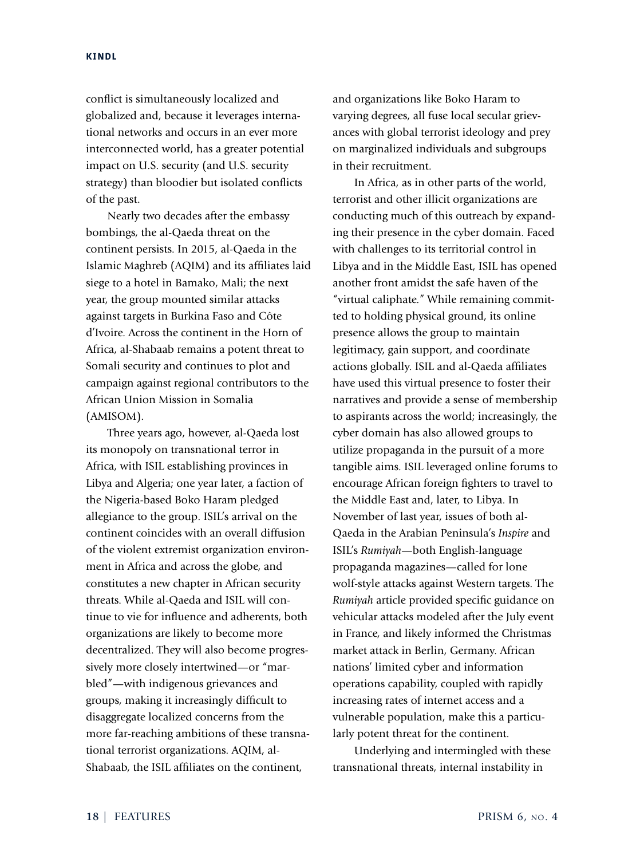conflict is simultaneously localized and globalized and, because it leverages international networks and occurs in an ever more interconnected world, has a greater potential impact on U.S. security (and U.S. security strategy) than bloodier but isolated conflicts of the past.

Nearly two decades after the embassy bombings, the al-Qaeda threat on the continent persists. In 2015, al-Qaeda in the Islamic Maghreb (AQIM) and its affiliates laid siege to a hotel in Bamako, Mali; the next year, the group mounted similar attacks against targets in Burkina Faso and Côte d'Ivoire. Across the continent in the Horn of Africa, al-Shabaab remains a potent threat to Somali security and continues to plot and campaign against regional contributors to the African Union Mission in Somalia (AMISOM).

Three years ago, however, al-Qaeda lost its monopoly on transnational terror in Africa, with ISIL establishing provinces in Libya and Algeria; one year later, a faction of the Nigeria-based Boko Haram pledged allegiance to the group. ISIL's arrival on the continent coincides with an overall diffusion of the violent extremist organization environment in Africa and across the globe, and constitutes a new chapter in African security threats. While al-Qaeda and ISIL will continue to vie for influence and adherents, both organizations are likely to become more decentralized. They will also become progressively more closely intertwined—or "marbled"—with indigenous grievances and groups, making it increasingly difficult to disaggregate localized concerns from the more far-reaching ambitions of these transnational terrorist organizations. AQIM, al-Shabaab, the ISIL affiliates on the continent,

and organizations like Boko Haram to varying degrees, all fuse local secular grievances with global terrorist ideology and prey on marginalized individuals and subgroups in their recruitment.

In Africa, as in other parts of the world, terrorist and other illicit organizations are conducting much of this outreach by expanding their presence in the cyber domain. Faced with challenges to its territorial control in Libya and in the Middle East, ISIL has opened another front amidst the safe haven of the "virtual caliphate." While remaining committed to holding physical ground, its online presence allows the group to maintain legitimacy, gain support, and coordinate actions globally. ISIL and al-Qaeda affiliates have used this virtual presence to foster their narratives and provide a sense of membership to aspirants across the world; increasingly, the cyber domain has also allowed groups to utilize propaganda in the pursuit of a more tangible aims. ISIL leveraged online forums to encourage African foreign fighters to travel to the Middle East and, later, to Libya. In November of last year, issues of both al-Qaeda in the Arabian Peninsula's *Inspire* and ISIL's *Rumiyah*—both English-language propaganda magazines—called for lone wolf-style attacks against Western targets. The *Rumiyah* article provided specific guidance on vehicular attacks modeled after the July event in France, and likely informed the Christmas market attack in Berlin, Germany. African nations' limited cyber and information operations capability, coupled with rapidly increasing rates of internet access and a vulnerable population, make this a particularly potent threat for the continent.

Underlying and intermingled with these transnational threats, internal instability in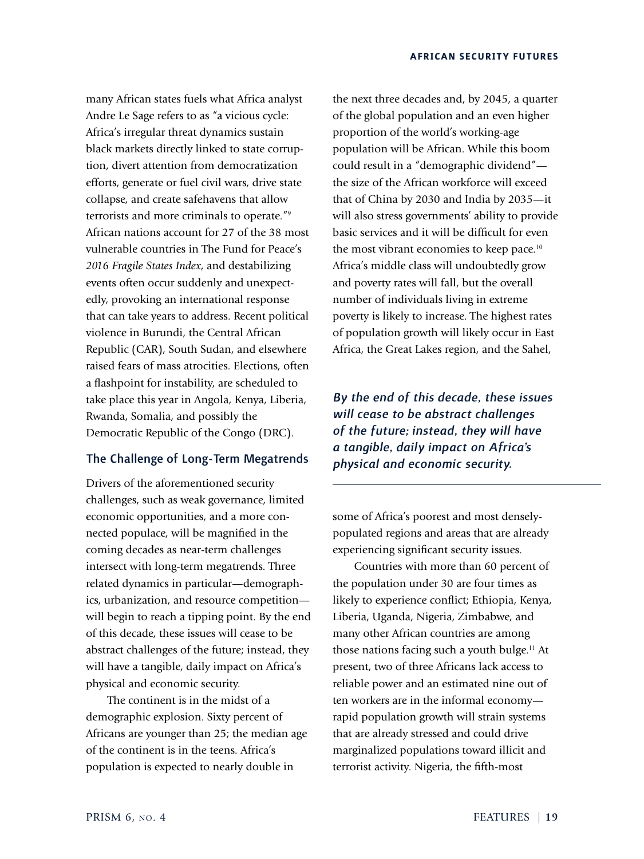many African states fuels what Africa analyst Andre Le Sage refers to as "a vicious cycle: Africa's irregular threat dynamics sustain black markets directly linked to state corruption, divert attention from democratization efforts, generate or fuel civil wars, drive state collapse, and create safehavens that allow terrorists and more criminals to operate."<sup>9</sup> African nations account for 27 of the 38 most vulnerable countries in The Fund for Peace's *2016 Fragile States Index*, and destabilizing events often occur suddenly and unexpectedly, provoking an international response that can take years to address. Recent political violence in Burundi, the Central African Republic (CAR), South Sudan, and elsewhere raised fears of mass atrocities. Elections, often a flashpoint for instability, are scheduled to take place this year in Angola, Kenya, Liberia, Rwanda, Somalia, and possibly the Democratic Republic of the Congo (DRC).

## The Challenge of Long-Term Megatrends

Drivers of the aforementioned security challenges, such as weak governance, limited economic opportunities, and a more connected populace, will be magnified in the coming decades as near-term challenges intersect with long-term megatrends. Three related dynamics in particular—demographics, urbanization, and resource competition will begin to reach a tipping point. By the end of this decade, these issues will cease to be abstract challenges of the future; instead, they will have a tangible, daily impact on Africa's physical and economic security.

The continent is in the midst of a demographic explosion. Sixty percent of Africans are younger than 25; the median age of the continent is in the teens. Africa's population is expected to nearly double in

the next three decades and, by 2045, a quarter of the global population and an even higher proportion of the world's working-age population will be African. While this boom could result in a "demographic dividend" the size of the African workforce will exceed that of China by 2030 and India by 2035—it will also stress governments' ability to provide basic services and it will be difficult for even the most vibrant economies to keep pace.<sup>10</sup> Africa's middle class will undoubtedly grow and poverty rates will fall, but the overall number of individuals living in extreme poverty is likely to increase. The highest rates of population growth will likely occur in East Africa, the Great Lakes region, and the Sahel,

*By the end of this decade, these issues will cease to be abstract challenges of the future; instead, they will have a tangible, daily impact on Africa's physical and economic security.*

some of Africa's poorest and most denselypopulated regions and areas that are already experiencing significant security issues.

Countries with more than 60 percent of the population under 30 are four times as likely to experience conflict; Ethiopia, Kenya, Liberia, Uganda, Nigeria, Zimbabwe, and many other African countries are among those nations facing such a youth bulge.<sup>11</sup> At present, two of three Africans lack access to reliable power and an estimated nine out of ten workers are in the informal economy rapid population growth will strain systems that are already stressed and could drive marginalized populations toward illicit and terrorist activity. Nigeria, the fifth-most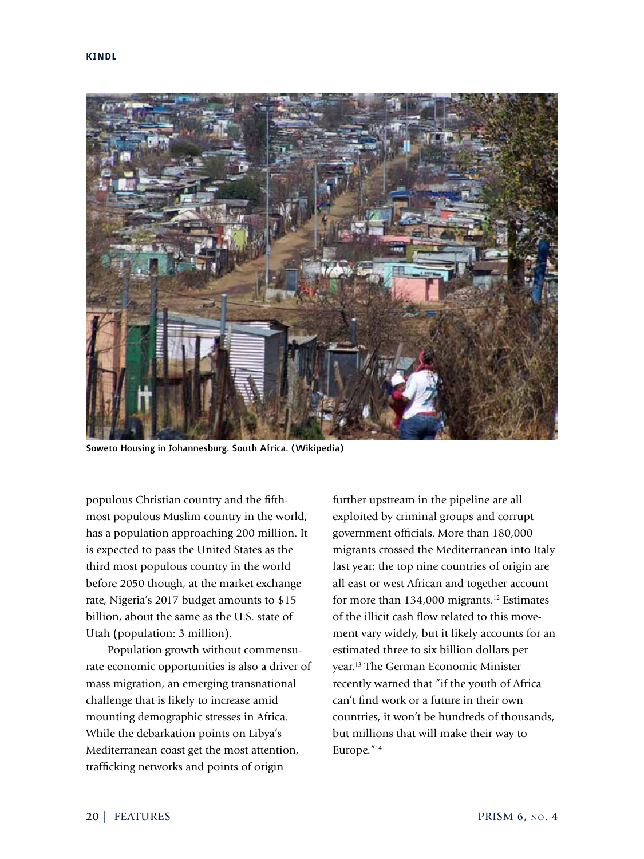

Soweto Housing in Johannesburg, South Africa. (Wikipedia)

populous Christian country and the fifthmost populous Muslim country in the world, has a population approaching 200 million. It is expected to pass the United States as the third most populous country in the world before 2050 though, at the market exchange rate, Nigeria's 2017 budget amounts to \$15 billion, about the same as the U.S. state of Utah (population: 3 million).

Population growth without commensurate economic opportunities is also a driver of mass migration, an emerging transnational challenge that is likely to increase amid mounting demographic stresses in Africa. While the debarkation points on Libya's Mediterranean coast get the most attention, trafficking networks and points of origin

further upstream in the pipeline are all exploited by criminal groups and corrupt government officials. More than 180,000 migrants crossed the Mediterranean into Italy last year; the top nine countries of origin are all east or west African and together account for more than 134,000 migrants.<sup>12</sup> Estimates of the illicit cash flow related to this movement vary widely, but it likely accounts for an estimated three to six billion dollars per year.<sup>13</sup> The German Economic Minister recently warned that "if the youth of Africa can't find work or a future in their own countries, it won't be hundreds of thousands, but millions that will make their way to Europe."<sup>14</sup>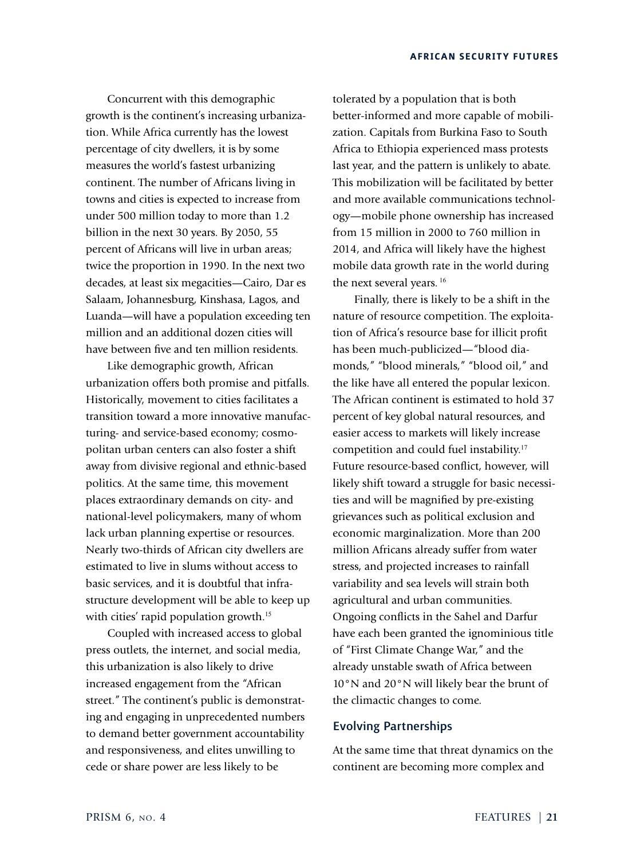Concurrent with this demographic growth is the continent's increasing urbanization. While Africa currently has the lowest percentage of city dwellers, it is by some measures the world's fastest urbanizing continent. The number of Africans living in towns and cities is expected to increase from under 500 million today to more than 1.2 billion in the next 30 years. By 2050, 55 percent of Africans will live in urban areas; twice the proportion in 1990. In the next two decades, at least six megacities—Cairo, Dar es Salaam, Johannesburg, Kinshasa, Lagos, and Luanda—will have a population exceeding ten million and an additional dozen cities will have between five and ten million residents.

Like demographic growth, African urbanization offers both promise and pitfalls. Historically, movement to cities facilitates a transition toward a more innovative manufacturing- and service-based economy; cosmopolitan urban centers can also foster a shift away from divisive regional and ethnic-based politics. At the same time, this movement places extraordinary demands on city- and national-level policymakers, many of whom lack urban planning expertise or resources. Nearly two-thirds of African city dwellers are estimated to live in slums without access to basic services, and it is doubtful that infrastructure development will be able to keep up with cities' rapid population growth.<sup>15</sup>

Coupled with increased access to global press outlets, the internet, and social media, this urbanization is also likely to drive increased engagement from the "African street." The continent's public is demonstrating and engaging in unprecedented numbers to demand better government accountability and responsiveness, and elites unwilling to cede or share power are less likely to be

tolerated by a population that is both better-informed and more capable of mobilization. Capitals from Burkina Faso to South Africa to Ethiopia experienced mass protests last year, and the pattern is unlikely to abate. This mobilization will be facilitated by better and more available communications technology—mobile phone ownership has increased from 15 million in 2000 to 760 million in 2014, and Africa will likely have the highest mobile data growth rate in the world during the next several years.<sup>16</sup>

Finally, there is likely to be a shift in the nature of resource competition. The exploitation of Africa's resource base for illicit profit has been much-publicized—"blood diamonds," "blood minerals," "blood oil," and the like have all entered the popular lexicon. The African continent is estimated to hold 37 percent of key global natural resources, and easier access to markets will likely increase competition and could fuel instability.<sup>17</sup> Future resource-based conflict, however, will likely shift toward a struggle for basic necessities and will be magnified by pre-existing grievances such as political exclusion and economic marginalization. More than 200 million Africans already suffer from water stress, and projected increases to rainfall variability and sea levels will strain both agricultural and urban communities. Ongoing conflicts in the Sahel and Darfur have each been granted the ignominious title of "First Climate Change War," and the already unstable swath of Africa between 10°N and 20°N will likely bear the brunt of the climactic changes to come.

## Evolving Partnerships

At the same time that threat dynamics on the continent are becoming more complex and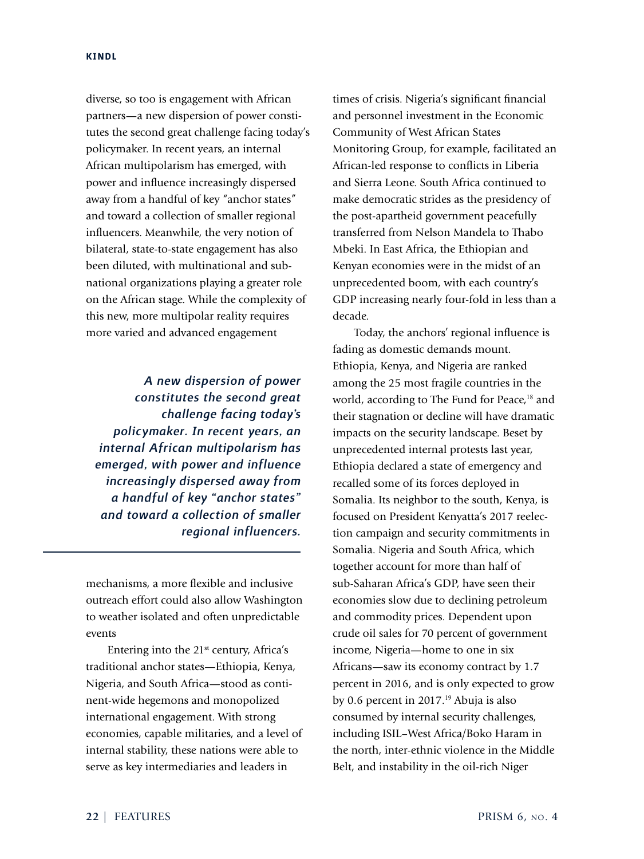diverse, so too is engagement with African partners—a new dispersion of power constitutes the second great challenge facing today's policymaker. In recent years, an internal African multipolarism has emerged, with power and influence increasingly dispersed away from a handful of key "anchor states" and toward a collection of smaller regional influencers. Meanwhile, the very notion of bilateral, state-to-state engagement has also been diluted, with multinational and subnational organizations playing a greater role on the African stage. While the complexity of this new, more multipolar reality requires more varied and advanced engagement

*A new dispersion of power constitutes the second great challenge facing today's policymaker. In recent years, an internal African multipolarism has emerged, with power and influence increasingly dispersed away from a handful of key "anchor states" and toward a collection of smaller regional influencers.*

mechanisms, a more flexible and inclusive outreach effort could also allow Washington to weather isolated and often unpredictable events

Entering into the  $21<sup>st</sup>$  century, Africa's traditional anchor states—Ethiopia, Kenya, Nigeria, and South Africa—stood as continent-wide hegemons and monopolized international engagement. With strong economies, capable militaries, and a level of internal stability, these nations were able to serve as key intermediaries and leaders in

times of crisis. Nigeria's significant financial and personnel investment in the Economic Community of West African States Monitoring Group, for example, facilitated an African-led response to conflicts in Liberia and Sierra Leone. South Africa continued to make democratic strides as the presidency of the post-apartheid government peacefully transferred from Nelson Mandela to Thabo Mbeki. In East Africa, the Ethiopian and Kenyan economies were in the midst of an unprecedented boom, with each country's GDP increasing nearly four-fold in less than a decade.

Today, the anchors' regional influence is fading as domestic demands mount. Ethiopia, Kenya, and Nigeria are ranked among the 25 most fragile countries in the world, according to The Fund for Peace,<sup>18</sup> and their stagnation or decline will have dramatic impacts on the security landscape. Beset by unprecedented internal protests last year, Ethiopia declared a state of emergency and recalled some of its forces deployed in Somalia. Its neighbor to the south, Kenya, is focused on President Kenyatta's 2017 reelection campaign and security commitments in Somalia. Nigeria and South Africa, which together account for more than half of sub-Saharan Africa's GDP, have seen their economies slow due to declining petroleum and commodity prices. Dependent upon crude oil sales for 70 percent of government income, Nigeria—home to one in six Africans—saw its economy contract by 1.7 percent in 2016, and is only expected to grow by 0.6 percent in 2017.<sup>19</sup> Abuja is also consumed by internal security challenges, including ISIL–West Africa/Boko Haram in the north, inter-ethnic violence in the Middle Belt, and instability in the oil-rich Niger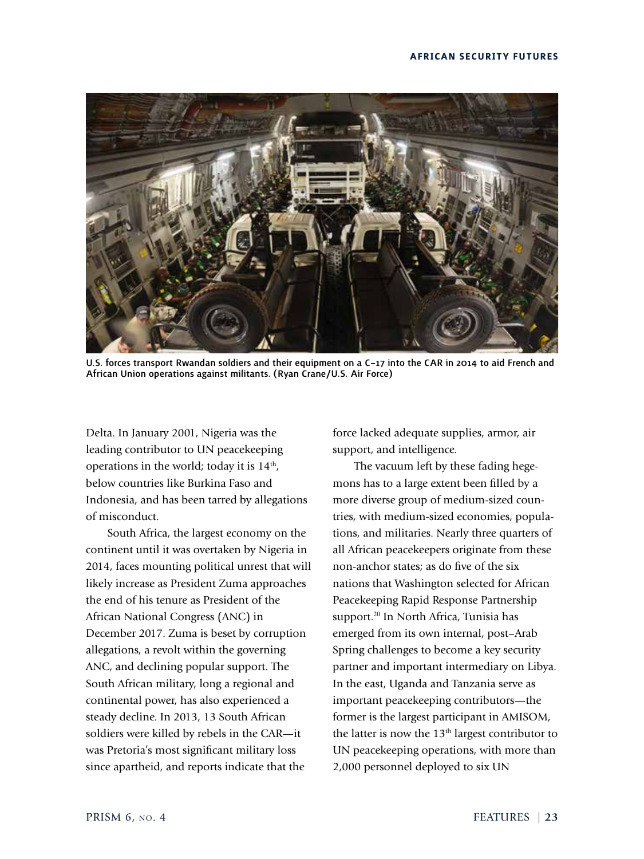

U.S. forces transport Rwandan soldiers and their equipment on a C–17 into the CAR in 2014 to aid French and African Union operations against militants. (Ryan Crane/U.S. Air Force)

Delta. In January 2001, Nigeria was the leading contributor to UN peacekeeping operations in the world; today it is  $14<sup>th</sup>$ , below countries like Burkina Faso and Indonesia, and has been tarred by allegations of misconduct.

South Africa, the largest economy on the continent until it was overtaken by Nigeria in 2014, faces mounting political unrest that will likely increase as President Zuma approaches the end of his tenure as President of the African National Congress (ANC) in December 2017. Zuma is beset by corruption allegations, a revolt within the governing ANC, and declining popular support. The South African military, long a regional and continental power, has also experienced a steady decline. In 2013, 13 South African soldiers were killed by rebels in the CAR—it was Pretoria's most significant military loss since apartheid, and reports indicate that the

force lacked adequate supplies, armor, air support, and intelligence.

The vacuum left by these fading hegemons has to a large extent been filled by a more diverse group of medium-sized countries, with medium-sized economies, populations, and militaries. Nearly three quarters of all African peacekeepers originate from these non-anchor states; as do five of the six nations that Washington selected for African Peacekeeping Rapid Response Partnership support.<sup>20</sup> In North Africa, Tunisia has emerged from its own internal, post–Arab Spring challenges to become a key security partner and important intermediary on Libya. In the east, Uganda and Tanzania serve as important peacekeeping contributors—the former is the largest participant in AMISOM, the latter is now the 13<sup>th</sup> largest contributor to UN peacekeeping operations, with more than 2,000 personnel deployed to six UN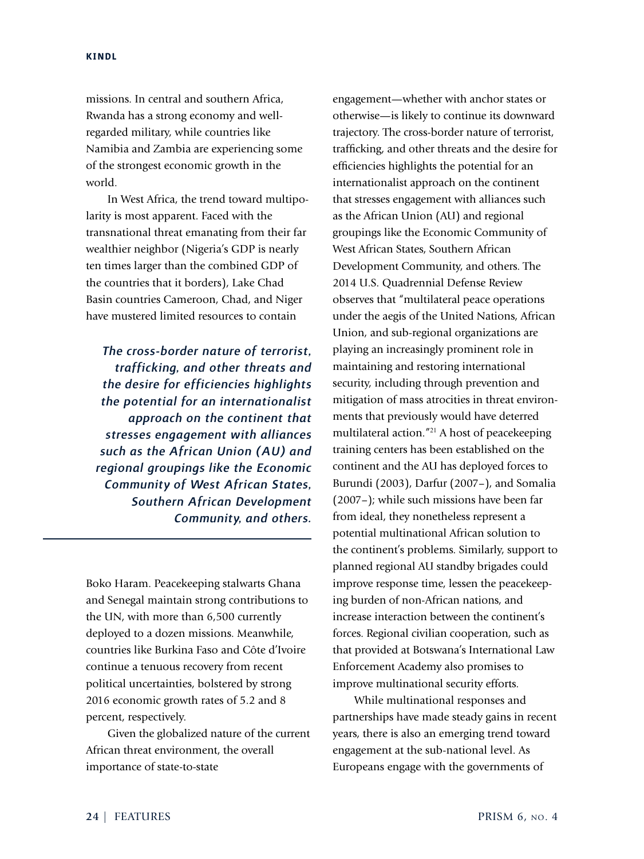missions. In central and southern Africa, Rwanda has a strong economy and wellregarded military, while countries like Namibia and Zambia are experiencing some of the strongest economic growth in the world.

In West Africa, the trend toward multipolarity is most apparent. Faced with the transnational threat emanating from their far wealthier neighbor (Nigeria's GDP is nearly ten times larger than the combined GDP of the countries that it borders), Lake Chad Basin countries Cameroon, Chad, and Niger have mustered limited resources to contain

*The cross-border nature of terrorist, trafficking, and other threats and the desire for efficiencies highlights the potential for an internationalist approach on the continent that stresses engagement with alliances such as the African Union (AU) and regional groupings like the Economic Community of West African States, Southern African Development Community, and others.*

Boko Haram. Peacekeeping stalwarts Ghana and Senegal maintain strong contributions to the UN, with more than 6,500 currently deployed to a dozen missions. Meanwhile, countries like Burkina Faso and Côte d'Ivoire continue a tenuous recovery from recent political uncertainties, bolstered by strong 2016 economic growth rates of 5.2 and 8 percent, respectively.

Given the globalized nature of the current African threat environment, the overall importance of state-to-state

engagement—whether with anchor states or otherwise—is likely to continue its downward trajectory. The cross-border nature of terrorist, trafficking, and other threats and the desire for efficiencies highlights the potential for an internationalist approach on the continent that stresses engagement with alliances such as the African Union (AU) and regional groupings like the Economic Community of West African States, Southern African Development Community, and others. The 2014 U.S. Quadrennial Defense Review observes that "multilateral peace operations under the aegis of the United Nations, African Union, and sub-regional organizations are playing an increasingly prominent role in maintaining and restoring international security, including through prevention and mitigation of mass atrocities in threat environments that previously would have deterred multilateral action."<sup>21</sup> A host of peacekeeping training centers has been established on the continent and the AU has deployed forces to Burundi (2003), Darfur (2007–), and Somalia (2007–); while such missions have been far from ideal, they nonetheless represent a potential multinational African solution to the continent's problems. Similarly, support to planned regional AU standby brigades could improve response time, lessen the peacekeeping burden of non-African nations, and increase interaction between the continent's forces. Regional civilian cooperation, such as that provided at Botswana's International Law Enforcement Academy also promises to improve multinational security efforts.

While multinational responses and partnerships have made steady gains in recent years, there is also an emerging trend toward engagement at the sub-national level. As Europeans engage with the governments of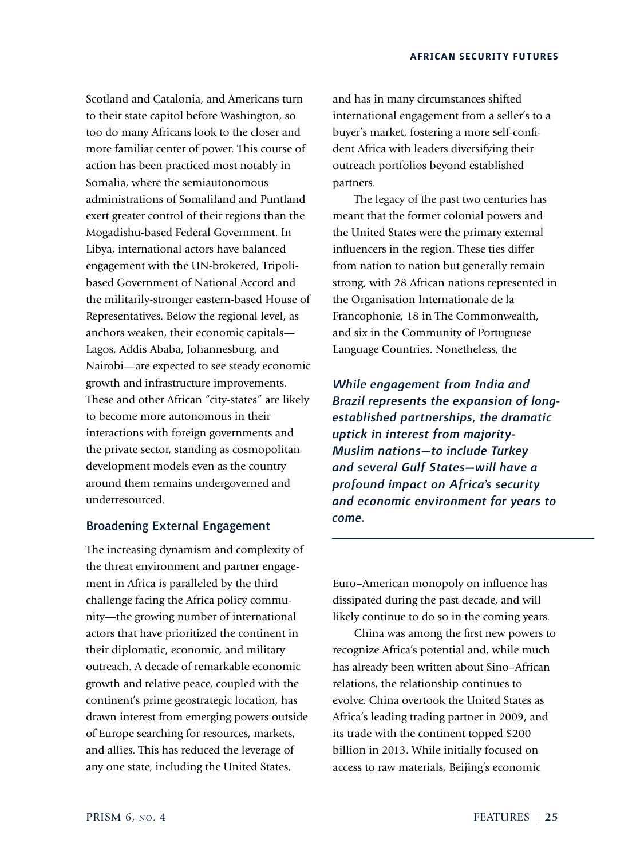Scotland and Catalonia, and Americans turn to their state capitol before Washington, so too do many Africans look to the closer and more familiar center of power. This course of action has been practiced most notably in Somalia, where the semiautonomous administrations of Somaliland and Puntland exert greater control of their regions than the Mogadishu-based Federal Government. In Libya, international actors have balanced engagement with the UN-brokered, Tripolibased Government of National Accord and the militarily-stronger eastern-based House of Representatives. Below the regional level, as anchors weaken, their economic capitals— Lagos, Addis Ababa, Johannesburg, and Nairobi—are expected to see steady economic growth and infrastructure improvements. These and other African "city-states" are likely to become more autonomous in their interactions with foreign governments and the private sector, standing as cosmopolitan development models even as the country around them remains undergoverned and underresourced.

# Broadening External Engagement

The increasing dynamism and complexity of the threat environment and partner engagement in Africa is paralleled by the third challenge facing the Africa policy community—the growing number of international actors that have prioritized the continent in their diplomatic, economic, and military outreach. A decade of remarkable economic growth and relative peace, coupled with the continent's prime geostrategic location, has drawn interest from emerging powers outside of Europe searching for resources, markets, and allies. This has reduced the leverage of any one state, including the United States,

and has in many circumstances shifted international engagement from a seller's to a buyer's market, fostering a more self-confident Africa with leaders diversifying their outreach portfolios beyond established partners.

The legacy of the past two centuries has meant that the former colonial powers and the United States were the primary external influencers in the region. These ties differ from nation to nation but generally remain strong, with 28 African nations represented in the Organisation Internationale de la Francophonie, 18 in The Commonwealth, and six in the Community of Portuguese Language Countries. Nonetheless, the

*While engagement from India and Brazil represents the expansion of longestablished partnerships, the dramatic uptick in interest from majority-Muslim nations—to include Turkey and several Gulf States—will have a profound impact on Africa's security and economic environment for years to come.*

Euro–American monopoly on influence has dissipated during the past decade, and will likely continue to do so in the coming years.

China was among the first new powers to recognize Africa's potential and, while much has already been written about Sino–African relations, the relationship continues to evolve. China overtook the United States as Africa's leading trading partner in 2009, and its trade with the continent topped \$200 billion in 2013. While initially focused on access to raw materials, Beijing's economic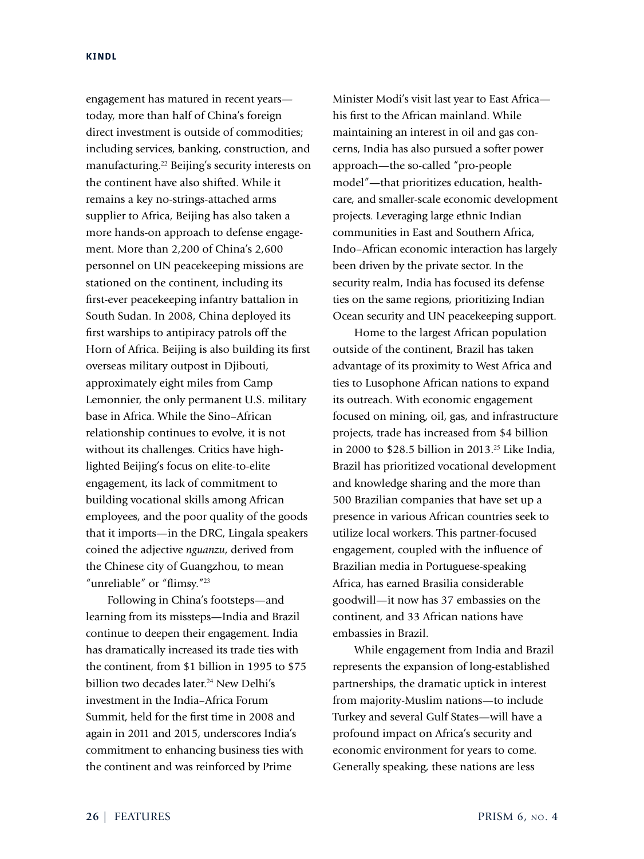engagement has matured in recent years today, more than half of China's foreign direct investment is outside of commodities; including services, banking, construction, and manufacturing.<sup>22</sup> Beijing's security interests on the continent have also shifted. While it remains a key no-strings-attached arms supplier to Africa, Beijing has also taken a more hands-on approach to defense engagement. More than 2,200 of China's 2,600 personnel on UN peacekeeping missions are stationed on the continent, including its first-ever peacekeeping infantry battalion in South Sudan. In 2008, China deployed its first warships to antipiracy patrols off the Horn of Africa. Beijing is also building its first overseas military outpost in Djibouti, approximately eight miles from Camp Lemonnier, the only permanent U.S. military base in Africa. While the Sino–African relationship continues to evolve, it is not without its challenges. Critics have highlighted Beijing's focus on elite-to-elite engagement, its lack of commitment to building vocational skills among African employees, and the poor quality of the goods that it imports—in the DRC, Lingala speakers coined the adjective *nguanzu*, derived from the Chinese city of Guangzhou, to mean "unreliable" or "flimsy."<sup>23</sup>

Following in China's footsteps—and learning from its missteps—India and Brazil continue to deepen their engagement. India has dramatically increased its trade ties with the continent, from \$1 billion in 1995 to \$75 billion two decades later.<sup>24</sup> New Delhi's investment in the India–Africa Forum Summit, held for the first time in 2008 and again in 2011 and 2015, underscores India's commitment to enhancing business ties with the continent and was reinforced by Prime

Minister Modi's visit last year to East Africa his first to the African mainland. While maintaining an interest in oil and gas concerns, India has also pursued a softer power approach—the so-called "pro-people model"—that prioritizes education, healthcare, and smaller-scale economic development projects. Leveraging large ethnic Indian communities in East and Southern Africa, Indo–African economic interaction has largely been driven by the private sector. In the security realm, India has focused its defense ties on the same regions, prioritizing Indian Ocean security and UN peacekeeping support.

Home to the largest African population outside of the continent, Brazil has taken advantage of its proximity to West Africa and ties to Lusophone African nations to expand its outreach. With economic engagement focused on mining, oil, gas, and infrastructure projects, trade has increased from \$4 billion in 2000 to \$28.5 billion in 2013.<sup>25</sup> Like India, Brazil has prioritized vocational development and knowledge sharing and the more than 500 Brazilian companies that have set up a presence in various African countries seek to utilize local workers. This partner-focused engagement, coupled with the influence of Brazilian media in Portuguese-speaking Africa, has earned Brasilia considerable goodwill—it now has 37 embassies on the continent, and 33 African nations have embassies in Brazil.

While engagement from India and Brazil represents the expansion of long-established partnerships, the dramatic uptick in interest from majority-Muslim nations—to include Turkey and several Gulf States—will have a profound impact on Africa's security and economic environment for years to come. Generally speaking, these nations are less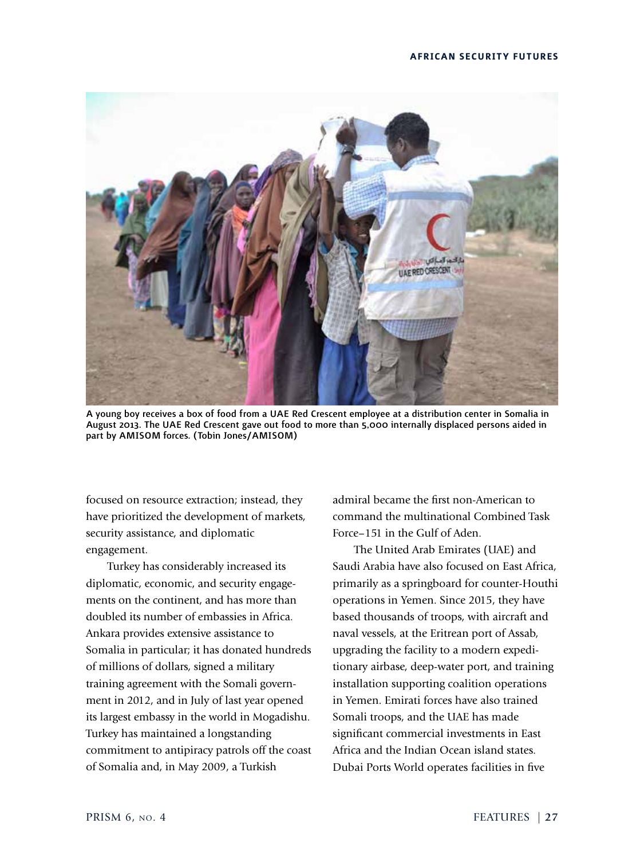

A young boy receives a box of food from a UAE Red Crescent employee at a distribution center in Somalia in August 2013. The UAE Red Crescent gave out food to more than 5,000 internally displaced persons aided in part by AMISOM forces. (Tobin Jones/AMISOM)

focused on resource extraction; instead, they have prioritized the development of markets, security assistance, and diplomatic engagement.

Turkey has considerably increased its diplomatic, economic, and security engagements on the continent, and has more than doubled its number of embassies in Africa. Ankara provides extensive assistance to Somalia in particular; it has donated hundreds of millions of dollars, signed a military training agreement with the Somali government in 2012, and in July of last year opened its largest embassy in the world in Mogadishu. Turkey has maintained a longstanding commitment to antipiracy patrols off the coast of Somalia and, in May 2009, a Turkish

admiral became the first non-American to command the multinational Combined Task Force–151 in the Gulf of Aden.

The United Arab Emirates (UAE) and Saudi Arabia have also focused on East Africa, primarily as a springboard for counter-Houthi operations in Yemen. Since 2015, they have based thousands of troops, with aircraft and naval vessels, at the Eritrean port of Assab, upgrading the facility to a modern expeditionary airbase, deep-water port, and training installation supporting coalition operations in Yemen. Emirati forces have also trained Somali troops, and the UAE has made significant commercial investments in East Africa and the Indian Ocean island states. Dubai Ports World operates facilities in five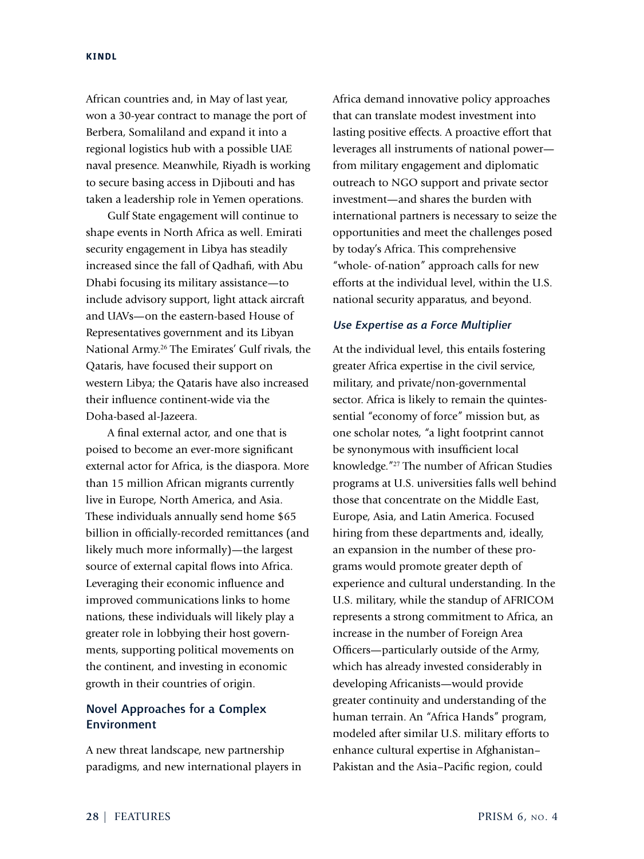African countries and, in May of last year, won a 30-year contract to manage the port of Berbera, Somaliland and expand it into a regional logistics hub with a possible UAE naval presence. Meanwhile, Riyadh is working to secure basing access in Djibouti and has taken a leadership role in Yemen operations.

Gulf State engagement will continue to shape events in North Africa as well. Emirati security engagement in Libya has steadily increased since the fall of Qadhafi, with Abu Dhabi focusing its military assistance—to include advisory support, light attack aircraft and UAVs—on the eastern-based House of Representatives government and its Libyan National Army.<sup>26</sup> The Emirates' Gulf rivals, the Qataris, have focused their support on western Libya; the Qataris have also increased their influence continent-wide via the Doha-based al-Jazeera.

A final external actor, and one that is poised to become an ever-more significant external actor for Africa, is the diaspora. More than 15 million African migrants currently live in Europe, North America, and Asia. These individuals annually send home \$65 billion in officially-recorded remittances (and likely much more informally)—the largest source of external capital flows into Africa. Leveraging their economic influence and improved communications links to home nations, these individuals will likely play a greater role in lobbying their host governments, supporting political movements on the continent, and investing in economic growth in their countries of origin.

# Novel Approaches for a Complex Environment

A new threat landscape, new partnership paradigms, and new international players in Africa demand innovative policy approaches that can translate modest investment into lasting positive effects. A proactive effort that leverages all instruments of national power from military engagement and diplomatic outreach to NGO support and private sector investment—and shares the burden with international partners is necessary to seize the opportunities and meet the challenges posed by today's Africa. This comprehensive "whole- of-nation" approach calls for new efforts at the individual level, within the U.S. national security apparatus, and beyond.

## *Use Expertise as a Force Multiplier*

At the individual level, this entails fostering greater Africa expertise in the civil service, military, and private/non-governmental sector. Africa is likely to remain the quintessential "economy of force" mission but, as one scholar notes, "a light footprint cannot be synonymous with insufficient local knowledge."<sup>27</sup> The number of African Studies programs at U.S. universities falls well behind those that concentrate on the Middle East, Europe, Asia, and Latin America. Focused hiring from these departments and, ideally, an expansion in the number of these programs would promote greater depth of experience and cultural understanding. In the U.S. military, while the standup of AFRICOM represents a strong commitment to Africa, an increase in the number of Foreign Area Officers—particularly outside of the Army, which has already invested considerably in developing Africanists—would provide greater continuity and understanding of the human terrain. An "Africa Hands" program, modeled after similar U.S. military efforts to enhance cultural expertise in Afghanistan– Pakistan and the Asia–Pacific region, could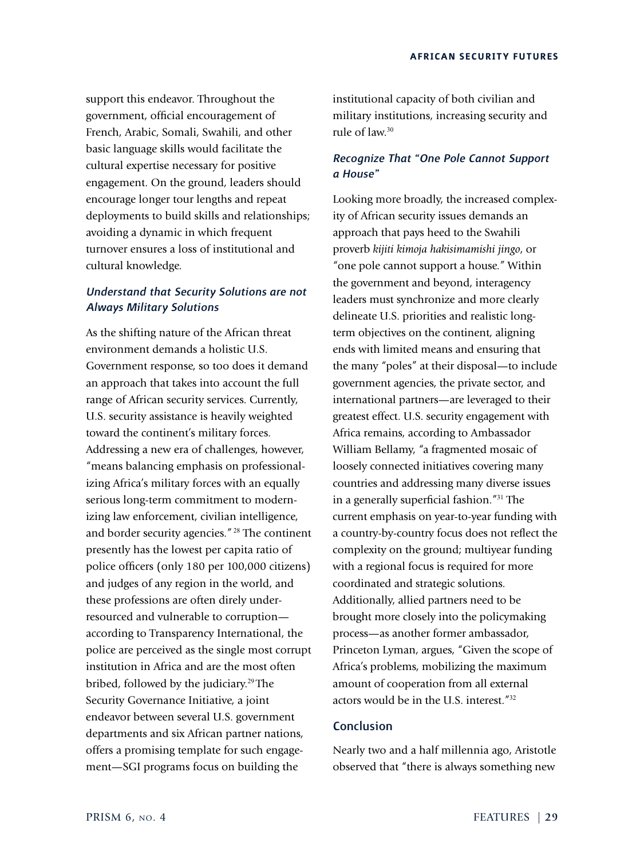support this endeavor. Throughout the government, official encouragement of French, Arabic, Somali, Swahili, and other basic language skills would facilitate the cultural expertise necessary for positive engagement. On the ground, leaders should encourage longer tour lengths and repeat deployments to build skills and relationships; avoiding a dynamic in which frequent turnover ensures a loss of institutional and cultural knowledge.

# *Understand that Security Solutions are not Always Military Solutions*

As the shifting nature of the African threat environment demands a holistic U.S. Government response, so too does it demand an approach that takes into account the full range of African security services. Currently, U.S. security assistance is heavily weighted toward the continent's military forces. Addressing a new era of challenges, however, "means balancing emphasis on professionalizing Africa's military forces with an equally serious long-term commitment to modernizing law enforcement, civilian intelligence, and border security agencies."<sup>28</sup> The continent presently has the lowest per capita ratio of police officers (only 180 per 100,000 citizens) and judges of any region in the world, and these professions are often direly underresourced and vulnerable to corruption according to Transparency International, the police are perceived as the single most corrupt institution in Africa and are the most often bribed, followed by the judiciary.<sup>29</sup> The Security Governance Initiative, a joint endeavor between several U.S. government departments and six African partner nations, offers a promising template for such engagement—SGI programs focus on building the

institutional capacity of both civilian and military institutions, increasing security and rule of law.<sup>30</sup>

# *Recognize That "One Pole Cannot Support a House"*

Looking more broadly, the increased complexity of African security issues demands an approach that pays heed to the Swahili proverb *kijiti kimoja hakisimamishi jingo*, or "one pole cannot support a house." Within the government and beyond, interagency leaders must synchronize and more clearly delineate U.S. priorities and realistic longterm objectives on the continent, aligning ends with limited means and ensuring that the many "poles" at their disposal—to include government agencies, the private sector, and international partners—are leveraged to their greatest effect. U.S. security engagement with Africa remains, according to Ambassador William Bellamy, "a fragmented mosaic of loosely connected initiatives covering many countries and addressing many diverse issues in a generally superficial fashion."<sup>31</sup> The current emphasis on year-to-year funding with a country-by-country focus does not reflect the complexity on the ground; multiyear funding with a regional focus is required for more coordinated and strategic solutions. Additionally, allied partners need to be brought more closely into the policymaking process—as another former ambassador, Princeton Lyman, argues, "Given the scope of Africa's problems, mobilizing the maximum amount of cooperation from all external actors would be in the U.S. interest."<sup>32</sup>

## Conclusion

Nearly two and a half millennia ago, Aristotle observed that "there is always something new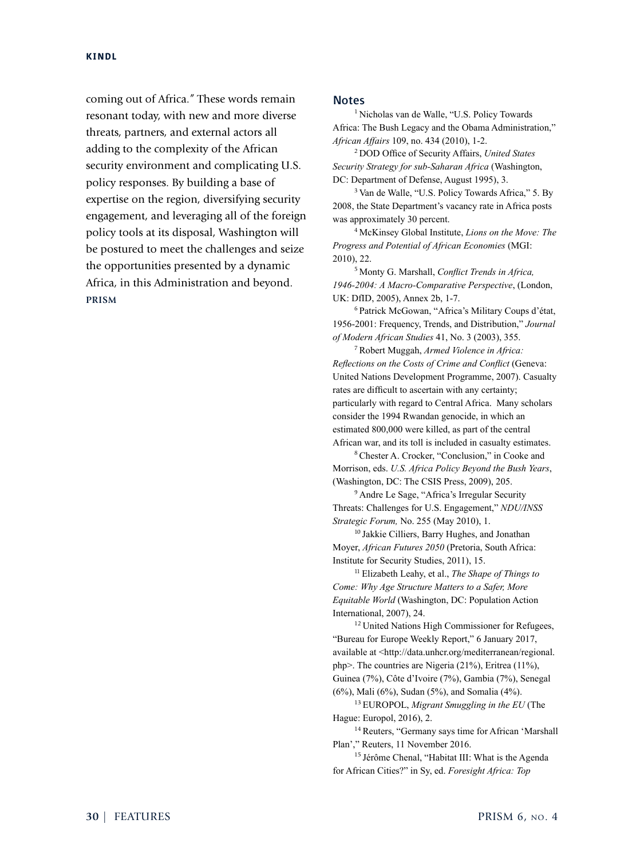coming out of Africa." These words remain resonant today, with new and more diverse threats, partners, and external actors all adding to the complexity of the African security environment and complicating U.S. policy responses. By building a base of expertise on the region, diversifying security engagement, and leveraging all of the foreign policy tools at its disposal, Washington will be postured to meet the challenges and seize the opportunities presented by a dynamic Africa, in this Administration and beyond. **PRISM**

## **Notes**

<sup>1</sup> Nicholas van de Walle, "U.S. Policy Towards Africa: The Bush Legacy and the Obama Administration," *African Affairs* 109, no. 434 (2010), 1-2.

<sup>2</sup> DOD Office of Security Affairs, *United States Security Strategy for sub-Saharan Africa* (Washington, DC: Department of Defense, August 1995), 3.

<sup>3</sup> Van de Walle, "U.S. Policy Towards Africa," 5. By 2008, the State Department's vacancy rate in Africa posts was approximately 30 percent.

<sup>4</sup> McKinsey Global Institute, *Lions on the Move: The Progress and Potential of African Economies* (MGI: 2010), 22.

<sup>5</sup> Monty G. Marshall, *Conflict Trends in Africa, 1946-2004: A Macro-Comparative Perspective*, (London, UK: DfID, 2005), Annex 2b, 1-7.

<sup>6</sup> Patrick McGowan, "Africa's Military Coups d'état, 1956-2001: Frequency, Trends, and Distribution," *Journal of Modern African Studies* 41, No. 3 (2003), 355.

<sup>7</sup>Robert Muggah, *Armed Violence in Africa: Reflections on the Costs of Crime and Conflict* (Geneva: United Nations Development Programme, 2007). Casualty rates are difficult to ascertain with any certainty; particularly with regard to Central Africa. Many scholars consider the 1994 Rwandan genocide, in which an estimated 800,000 were killed, as part of the central African war, and its toll is included in casualty estimates.

<sup>8</sup>Chester A. Crocker, "Conclusion," in Cooke and Morrison, eds. *U.S. Africa Policy Beyond the Bush Years*, (Washington, DC: The CSIS Press, 2009), 205.

<sup>9</sup> Andre Le Sage, "Africa's Irregular Security Threats: Challenges for U.S. Engagement," *NDU/INSS Strategic Forum,* No. 255 (May 2010), 1.

<sup>10</sup> Jakkie Cilliers, Barry Hughes, and Jonathan Moyer, *African Futures 2050* (Pretoria, South Africa: Institute for Security Studies, 2011), 15.

<sup>11</sup> Elizabeth Leahy, et al., *The Shape of Things to Come: Why Age Structure Matters to a Safer, More Equitable World* (Washington, DC: Population Action International, 2007), 24.

<sup>12</sup> United Nations High Commissioner for Refugees, "Bureau for Europe Weekly Report," 6 January 2017, available at <http://data.unhcr.org/mediterranean/regional. php>. The countries are Nigeria (21%), Eritrea (11%), Guinea (7%), Côte d'Ivoire (7%), Gambia (7%), Senegal (6%), Mali (6%), Sudan (5%), and Somalia (4%).

<sup>13</sup> EUROPOL, *Migrant Smuggling in the EU* (The Hague: Europol, 2016), 2.

<sup>14</sup> Reuters, "Germany says time for African 'Marshall Plan'," Reuters, 11 November 2016.

<sup>15</sup> Jérôme Chenal, "Habitat III: What is the Agenda for African Cities?" in Sy, ed. *Foresight Africa: Top*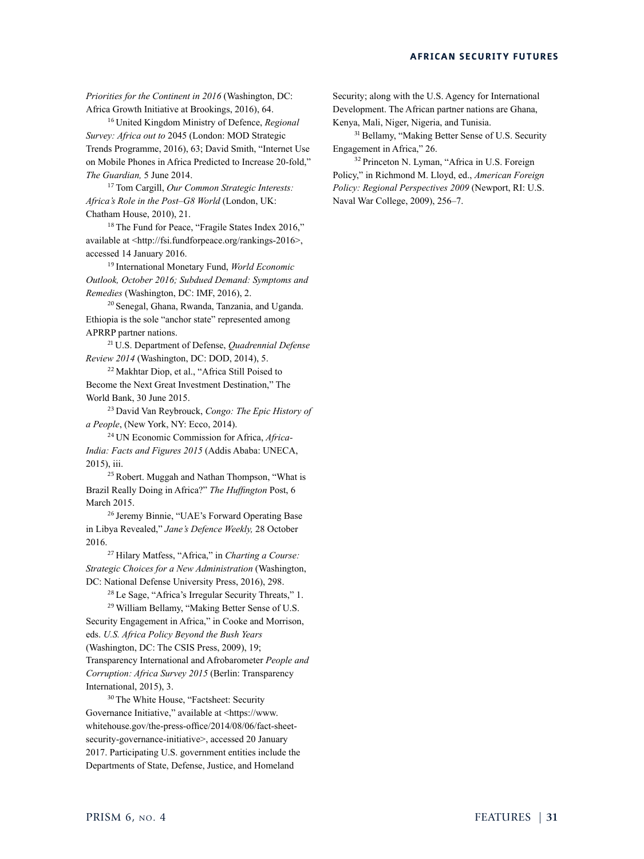*Priorities for the Continent in 2016* (Washington, DC: Africa Growth Initiative at Brookings, 2016), 64.

<sup>16</sup> United Kingdom Ministry of Defence, *Regional Survey: Africa out to* 2045 (London: MOD Strategic Trends Programme, 2016), 63; David Smith, "Internet Use on Mobile Phones in Africa Predicted to Increase 20-fold," *The Guardian,* 5 June 2014.

<sup>17</sup> Tom Cargill, *Our Common Strategic Interests: Africa's Role in the Post–G8 World* (London, UK: Chatham House, 2010), 21.

<sup>18</sup> The Fund for Peace, "Fragile States Index 2016," available at <http://fsi.fundforpeace.org/rankings-2016>, accessed 14 January 2016.

<sup>19</sup> International Monetary Fund, *World Economic Outlook, October 2016; Subdued Demand: Symptoms and Remedies* (Washington, DC: IMF, 2016), 2.

<sup>20</sup> Senegal, Ghana, Rwanda, Tanzania, and Uganda. Ethiopia is the sole "anchor state" represented among APRRP partner nations.

<sup>21</sup> U.S. Department of Defense, *Quadrennial Defense Review 2014* (Washington, DC: DOD, 2014), 5.

<sup>22</sup> Makhtar Diop, et al., "Africa Still Poised to Become the Next Great Investment Destination," The World Bank, 30 June 2015.

<sup>23</sup> David Van Reybrouck, *Congo: The Epic History of a People*, (New York, NY: Ecco, 2014).

<sup>24</sup> UN Economic Commission for Africa, *Africa-India: Facts and Figures 2015* (Addis Ababa: UNECA, 2015), iii.

<sup>25</sup>Robert. Muggah and Nathan Thompson, "What is Brazil Really Doing in Africa?" *The Huffington* Post, 6 March 2015.

<sup>26</sup> Jeremy Binnie, "UAE's Forward Operating Base in Libya Revealed," *Jane's Defence Weekly,* 28 October 2016.

<sup>27</sup> Hilary Matfess, "Africa," in *Charting a Course: Strategic Choices for a New Administration* (Washington, DC: National Defense University Press, 2016), 298.

<sup>28</sup> Le Sage, "Africa's Irregular Security Threats," 1. <sup>29</sup> William Bellamy, "Making Better Sense of U.S.

Security Engagement in Africa," in Cooke and Morrison, eds. *U.S. Africa Policy Beyond the Bush Years* (Washington, DC: The CSIS Press, 2009), 19; Transparency International and Afrobarometer *People and Corruption: Africa Survey 2015* (Berlin: Transparency International, 2015), 3.

<sup>30</sup> The White House, "Factsheet: Security Governance Initiative," available at <https://www. whitehouse.gov/the-press-office/2014/08/06/fact-sheetsecurity-governance-initiative>, accessed 20 January 2017. Participating U.S. government entities include the Departments of State, Defense, Justice, and Homeland

Security; along with the U.S. Agency for International Development. The African partner nations are Ghana, Kenya, Mali, Niger, Nigeria, and Tunisia.

<sup>31</sup> Bellamy, "Making Better Sense of U.S. Security Engagement in Africa," 26.

<sup>32</sup> Princeton N. Lyman, "Africa in U.S. Foreign Policy," in Richmond M. Lloyd, ed., *American Foreign Policy: Regional Perspectives 2009* (Newport, RI: U.S. Naval War College, 2009), 256–7.